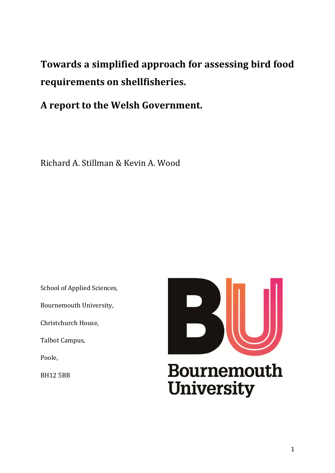**Towards a simplified approach for assessing bird food requirements on shellfisheries.**

**A report to the Welsh Government.**

Richard A. Stillman & Kevin A. Wood

School of Applied Sciences,

Bournemouth University,

Christchurch House,

Talbot Campus,

Poole,

BH12 5BB

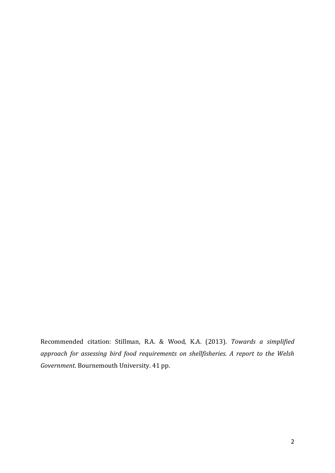Recommended citation: Stillman, R.A. & Wood, K.A. (2013). *Towards a simplified approach for assessing bird food requirements on shellfisheries. A report to the Welsh Government*. Bournemouth University. 41 pp.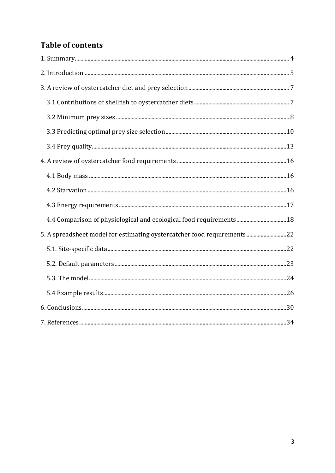# **Table of contents**

| 4.4 Comparison of physiological and ecological food requirements 18     |  |
|-------------------------------------------------------------------------|--|
| 5. A spreadsheet model for estimating oystercatcher food requirements22 |  |
|                                                                         |  |
|                                                                         |  |
|                                                                         |  |
|                                                                         |  |
|                                                                         |  |
|                                                                         |  |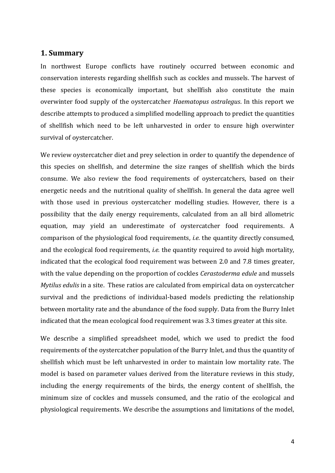#### <span id="page-3-0"></span>**1. Summary**

In northwest Europe conflicts have routinely occurred between economic and conservation interests regarding shellfish such as cockles and mussels. The harvest of these species is economically important, but shellfish also constitute the main overwinter food supply of the oystercatcher *Haematopus ostralegus*. In this report we describe attempts to produced a simplified modelling approach to predict the quantities of shellfish which need to be left unharvested in order to ensure high overwinter survival of oystercatcher.

We review oystercatcher diet and prey selection in order to quantify the dependence of this species on shellfish, and determine the size ranges of shellfish which the birds consume. We also review the food requirements of oystercatchers, based on their energetic needs and the nutritional quality of shellfish. In general the data agree well with those used in previous oystercatcher modelling studies. However, there is a possibility that the daily energy requirements, calculated from an all bird allometric equation, may yield an underestimate of oystercatcher food requirements. A comparison of the physiological food requirements, *i.e.* the quantity directly consumed, and the ecological food requirements, *i.e.* the quantity required to avoid high mortality, indicated that the ecological food requirement was between 2.0 and 7.8 times greater, with the value depending on the proportion of cockles *Cerastoderma edule* and mussels *Mytilus edulis* in a site. These ratios are calculated from empirical data on oystercatcher survival and the predictions of individual-based models predicting the relationship between mortality rate and the abundance of the food supply. Data from the Burry Inlet indicated that the mean ecological food requirement was 3.3 times greater at this site.

We describe a simplified spreadsheet model, which we used to predict the food requirements of the oystercatcher population of the Burry Inlet, and thus the quantity of shellfish which must be left unharvested in order to maintain low mortality rate. The model is based on parameter values derived from the literature reviews in this study, including the energy requirements of the birds, the energy content of shellfish, the minimum size of cockles and mussels consumed, and the ratio of the ecological and physiological requirements. We describe the assumptions and limitations of the model,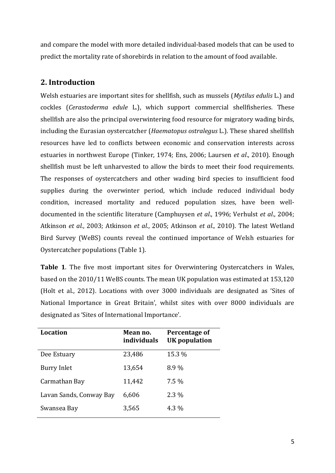and compare the model with more detailed individual-based models that can be used to predict the mortality rate of shorebirds in relation to the amount of food available.

# <span id="page-4-0"></span>**2. Introduction**

Welsh estuaries are important sites for shellfish, such as mussels (*Mytilus edulis* L.) and cockles (*Cerastoderma edule* L.), which support commercial shellfisheries. These shellfish are also the principal overwintering food resource for migratory wading birds, including the Eurasian oystercatcher (*Haematopus ostralegus* L.). These shared shellfish resources have led to conflicts between economic and conservation interests across estuaries in northwest Europe (Tinker, 1974; Ens, 2006; Laursen *et al*., 2010). Enough shellfish must be left unharvested to allow the birds to meet their food requirements. The responses of oystercatchers and other wading bird species to insufficient food supplies during the overwinter period, which include reduced individual body condition, increased mortality and reduced population sizes, have been welldocumented in the scientific literature (Camphuysen *et al*., 1996; Verhulst *et al*., 2004; Atkinson *et al*., 2003; Atkinson *et al*., 2005; Atkinson *et al*., 2010). The latest Wetland Bird Survey (WeBS) counts reveal the continued importance of Welsh estuaries for Oystercatcher populations (Table 1).

**Table 1**. The five most important sites for Overwintering Oystercatchers in Wales, based on the 2010/11 WeBS counts. The mean UK population was estimated at 153,120 (Holt et al., 2012). Locations with over 3000 individuals are designated as 'Sites of National Importance in Great Britain', whilst sites with over 8000 individuals are designated as 'Sites of International Importance'.

| Location                | Mean no.<br><i>individuals</i> | Percentage of<br><b>UK</b> population |
|-------------------------|--------------------------------|---------------------------------------|
| Dee Estuary             | 23,486                         | 15.3 %                                |
| Burry Inlet             | 13,654                         | 8.9%                                  |
| Carmathan Bay           | 11,442                         | $7.5\%$                               |
| Lavan Sands, Conway Bay | 6,606                          | $2.3\%$                               |
| Swansea Bay             | 3,565                          | 4.3 %                                 |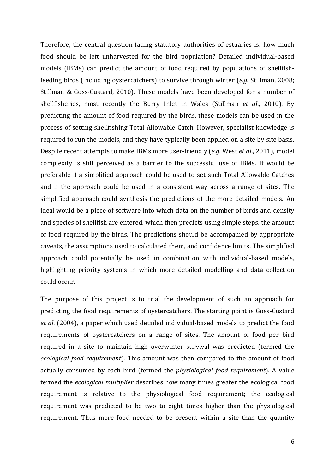Therefore, the central question facing statutory authorities of estuaries is: how much food should be left unharvested for the bird population? Detailed individual-based models (IBMs) can predict the amount of food required by populations of shellfishfeeding birds (including oystercatchers) to survive through winter (*e.g.* Stillman, 2008; Stillman & Goss-Custard, 2010). These models have been developed for a number of shellfisheries, most recently the Burry Inlet in Wales (Stillman *et al*., 2010). By predicting the amount of food required by the birds, these models can be used in the process of setting shellfishing Total Allowable Catch. However, specialist knowledge is required to run the models, and they have typically been applied on a site by site basis. Despite recent attempts to make IBMs more user-friendly (*e.g.* West *et al*., 2011), model complexity is still perceived as a barrier to the successful use of IBMs. It would be preferable if a simplified approach could be used to set such Total Allowable Catches and if the approach could be used in a consistent way across a range of sites. The simplified approach could synthesis the predictions of the more detailed models. An ideal would be a piece of software into which data on the number of birds and density and species of shellfish are entered, which then predicts using simple steps, the amount of food required by the birds. The predictions should be accompanied by appropriate caveats, the assumptions used to calculated them, and confidence limits. The simplified approach could potentially be used in combination with individual-based models, highlighting priority systems in which more detailed modelling and data collection could occur.

The purpose of this project is to trial the development of such an approach for predicting the food requirements of oystercatchers. The starting point is Goss-Custard *et al*. (2004), a paper which used detailed individual-based models to predict the food requirements of oystercatchers on a range of sites. The amount of food per bird required in a site to maintain high overwinter survival was predicted (termed the *ecological food requirement*). This amount was then compared to the amount of food actually consumed by each bird (termed the *physiological food requirement*). A value termed the *ecological multiplier* describes how many times greater the ecological food requirement is relative to the physiological food requirement; the ecological requirement was predicted to be two to eight times higher than the physiological requirement. Thus more food needed to be present within a site than the quantity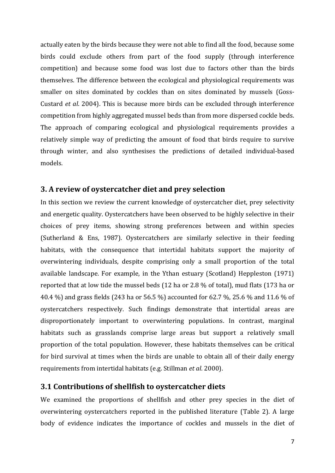actually eaten by the birds because they were not able to find all the food, because some birds could exclude others from part of the food supply (through interference competition) and because some food was lost due to factors other than the birds themselves. The difference between the ecological and physiological requirements was smaller on sites dominated by cockles than on sites dominated by mussels (Goss-Custard *et al*. 2004). This is because more birds can be excluded through interference competition from highly aggregated mussel beds than from more dispersed cockle beds. The approach of comparing ecological and physiological requirements provides a relatively simple way of predicting the amount of food that birds require to survive through winter, and also synthesises the predictions of detailed individual-based models.

### <span id="page-6-0"></span>**3. A review of oystercatcher diet and prey selection**

In this section we review the current knowledge of oystercatcher diet, prey selectivity and energetic quality. Oystercatchers have been observed to be highly selective in their choices of prey items, showing strong preferences between and within species (Sutherland & Ens, 1987). Oystercatchers are similarly selective in their feeding habitats, with the consequence that intertidal habitats support the majority of overwintering individuals, despite comprising only a small proportion of the total available landscape. For example, in the Ythan estuary (Scotland) Heppleston (1971) reported that at low tide the mussel beds (12 ha or 2.8 % of total), mud flats (173 ha or 40.4 %) and grass fields (243 ha or 56.5 %) accounted for 62.7 %, 25.6 % and 11.6 % of oystercatchers respectively. Such findings demonstrate that intertidal areas are disproportionately important to overwintering populations. In contrast, marginal habitats such as grasslands comprise large areas but support a relatively small proportion of the total population. However, these habitats themselves can be critical for bird survival at times when the birds are unable to obtain all of their daily energy requirements from intertidal habitats (e.g. Stillman *et al*. 2000).

#### <span id="page-6-1"></span>**3.1 Contributions of shellfish to oystercatcher diets**

We examined the proportions of shellfish and other prey species in the diet of overwintering oystercatchers reported in the published literature (Table 2). A large body of evidence indicates the importance of cockles and mussels in the diet of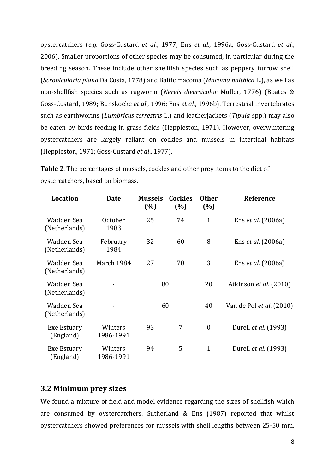oystercatchers (*e.g.* Goss-Custard *et al*., 1977; Ens *et al*., 1996a; Goss-Custard *et al*., 2006). Smaller proportions of other species may be consumed, in particular during the breeding season. These include other shellfish species such as peppery furrow shell (*Scrobicularia plana* Da Costa, 1778) and Baltic macoma (*Macoma balthica* L.), as well as non-shellfish species such as ragworm (*Nereis diversicolor* Müller, 1776) (Boates & Goss-Custard, 1989; Bunskoeke *et al*., 1996; Ens *et al*., 1996b). Terrestrial invertebrates such as earthworms (*Lumbricus terrestris* L.) and leatherjackets (*Tipula* spp.) may also be eaten by birds feeding in grass fields (Heppleston, 1971). However, overwintering oystercatchers are largely reliant on cockles and mussels in intertidal habitats (Heppleston, 1971; Goss-Custard *et al*., 1977).

| <b>Location</b>             | <b>Date</b>          | <b>Mussels</b><br>(%) | <b>Cockles</b><br>(%) | <b>Other</b><br>(%) | <b>Reference</b>            |
|-----------------------------|----------------------|-----------------------|-----------------------|---------------------|-----------------------------|
| Wadden Sea<br>(Netherlands) | October<br>1983      | 25                    | 74                    | $\mathbf{1}$        | Ens <i>et al.</i> (2006a)   |
| Wadden Sea<br>(Netherlands) | February<br>1984     | 32                    | 60                    | 8                   | Ens <i>et al.</i> (2006a)   |
| Wadden Sea<br>(Netherlands) | March 1984           | 27                    | 70                    | 3                   | Ens <i>et al.</i> (2006a)   |
| Wadden Sea<br>(Netherlands) |                      | 80                    |                       | 20                  | Atkinson et al. (2010)      |
| Wadden Sea<br>(Netherlands) |                      | 60                    |                       | 40                  | Van de Pol et al. (2010)    |
| Exe Estuary<br>(England)    | Winters<br>1986-1991 | 93                    | 7                     | $\overline{0}$      | Durell et al. (1993)        |
| Exe Estuary<br>(England)    | Winters<br>1986-1991 | 94                    | 5                     | $\mathbf{1}$        | Durell <i>et al.</i> (1993) |

**Table 2**. The percentages of mussels, cockles and other prey items to the diet of oystercatchers, based on biomass.

### <span id="page-7-0"></span>**3.2 Minimum prey sizes**

We found a mixture of field and model evidence regarding the sizes of shellfish which are consumed by oystercatchers. Sutherland & Ens (1987) reported that whilst oystercatchers showed preferences for mussels with shell lengths between 25-50 mm,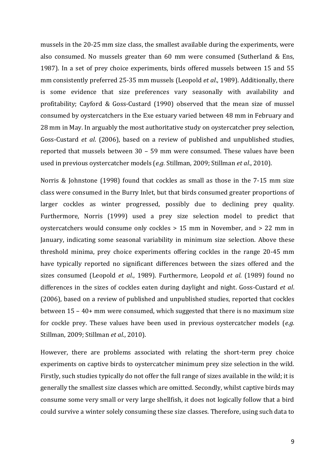mussels in the 20-25 mm size class, the smallest available during the experiments, were also consumed. No mussels greater than 60 mm were consumed (Sutherland & Ens, 1987). In a set of prey choice experiments, birds offered mussels between 15 and 55 mm consistently preferred 25-35 mm mussels (Leopold *et al*., 1989). Additionally, there is some evidence that size preferences vary seasonally with availability and profitability; Cayford & Goss-Custard (1990) observed that the mean size of mussel consumed by oystercatchers in the Exe estuary varied between 48 mm in February and 28 mm in May. In arguably the most authoritative study on oystercatcher prey selection, Goss-Custard *et al*. (2006), based on a review of published and unpublished studies, reported that mussels between 30 – 59 mm were consumed. These values have been used in previous oystercatcher models (*e.g.* Stillman, 2009; Stillman *et al*., 2010).

Norris & Johnstone (1998) found that cockles as small as those in the 7-15 mm size class were consumed in the Burry Inlet, but that birds consumed greater proportions of larger cockles as winter progressed, possibly due to declining prey quality. Furthermore, Norris (1999) used a prey size selection model to predict that oystercatchers would consume only cockles > 15 mm in November, and > 22 mm in January, indicating some seasonal variability in minimum size selection. Above these threshold minima, prey choice experiments offering cockles in the range 20-45 mm have typically reported no significant differences between the sizes offered and the sizes consumed (Leopold *et al*., 1989). Furthermore, Leopold *et al*. (1989) found no differences in the sizes of cockles eaten during daylight and night. Goss-Custard *et al*. (2006), based on a review of published and unpublished studies, reported that cockles between 15 – 40+ mm were consumed, which suggested that there is no maximum size for cockle prey. These values have been used in previous oystercatcher models (*e.g.* Stillman, 2009; Stillman *et al*., 2010).

However, there are problems associated with relating the short-term prey choice experiments on captive birds to oystercatcher minimum prey size selection in the wild. Firstly, such studies typically do not offer the full range of sizes available in the wild; it is generally the smallest size classes which are omitted. Secondly, whilst captive birds may consume some very small or very large shellfish, it does not logically follow that a bird could survive a winter solely consuming these size classes. Therefore, using such data to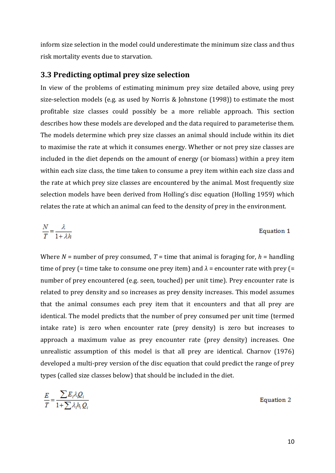inform size selection in the model could underestimate the minimum size class and thus risk mortality events due to starvation.

#### <span id="page-9-0"></span>**3.3 Predicting optimal prey size selection**

In view of the problems of estimating minimum prey size detailed above, using prey size-selection models (e.g. as used by Norris & Johnstone (1998)) to estimate the most profitable size classes could possibly be a more reliable approach. This section describes how these models are developed and the data required to parameterise them. The models determine which prey size classes an animal should include within its diet to maximise the rate at which it consumes energy. Whether or not prey size classes are included in the diet depends on the amount of energy (or biomass) within a prey item within each size class, the time taken to consume a prey item within each size class and the rate at which prey size classes are encountered by the animal. Most frequently size selection models have been derived from Holling's disc equation (Holling 1959) which relates the rate at which an animal can feed to the density of prey in the environment.

$$
\frac{N}{T} = \frac{\lambda}{1 + \lambda h}
$$
 Equation 1

Where  $N =$  number of prey consumed,  $T =$  time that animal is foraging for,  $h =$  handling time of prey (= time take to consume one prey item) and  $\lambda$  = encounter rate with prey (= number of prey encountered (e.g. seen, touched) per unit time). Prey encounter rate is related to prey density and so increases as prey density increases. This model assumes that the animal consumes each prey item that it encounters and that all prey are identical. The model predicts that the number of prey consumed per unit time (termed intake rate) is zero when encounter rate (prey density) is zero but increases to approach a maximum value as prey encounter rate (prey density) increases. One unrealistic assumption of this model is that all prey are identical. Charnov (1976) developed a multi-prey version of the disc equation that could predict the range of prey types (called size classes below) that should be included in the diet.

$$
\frac{E}{T} = \frac{\sum E_i \lambda_i Q_i}{1 + \sum \lambda_i h_i Q_i}
$$
 Equation 2

10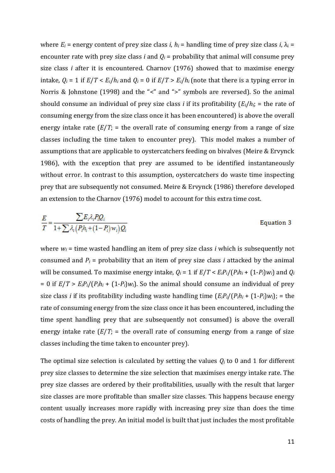where  $E_i$  = energy content of prey size class *i*,  $h_i$  = handling time of prey size class *i*,  $\lambda_i$  = encounter rate with prey size class *i* and  $Q_i$  = probability that animal will consume prey size class *i* after it is encountered. Charnov (1976) showed that to maximise energy intake,  $Q_i = 1$  if  $E/T < E_i/h_i$  and  $Q_i = 0$  if  $E/T > E_i/h_i$  (note that there is a typing error in Norris & Johnstone (1998) and the "<" and ">" symbols are reversed). So the animal should consume an individual of prey size class *i* if its profitability (*Ei*/*hi*; = the rate of consuming energy from the size class once it has been encountered) is above the overall energy intake rate  $(E/T)$  = the overall rate of consuming energy from a range of size classes including the time taken to encounter prey). This model makes a number of assumptions that are applicable to oystercatchers feeding on bivalves (Meire & Ervynck 1986), with the exception that prey are assumed to be identified instantaneously without error. In contrast to this assumption, oystercatchers do waste time inspecting prey that are subsequently not consumed. Meire & Ervynck (1986) therefore developed an extension to the Charnov (1976) model to account for this extra time cost.

$$
\frac{E}{T} = \frac{\sum E_i \lambda_i P_i Q_i}{1 + \sum \lambda_i \left( P_i h_i + (1 - P_i) w_i \right) Q_i}
$$

#### Equation 3

where *w<sup>i</sup>* = time wasted handling an item of prey size class *i* which is subsequently not consumed and  $P_i$  = probability that an item of prey size class *i* attacked by the animal will be consumed. To maximise energy intake,  $Q_i = 1$  if  $E/T \le E_i P_i / (P_i h_i + (1-P_i) w_i)$  and  $Q_i$  $= 0$  if  $E/T > E_iP_i/(P_ih_i + (1-P_i)w_i)$ . So the animal should consume an individual of prey size class *i* if its profitability including waste handling time  $(E_i P_i/(P_i h_i + (1-P_i) w_i))$ ; = the rate of consuming energy from the size class once it has been encountered, including the time spent handling prey that are subsequently not consumed) is above the overall energy intake rate  $(E/T)$  = the overall rate of consuming energy from a range of size classes including the time taken to encounter prey).

The optimal size selection is calculated by setting the values  $Q_i$  to 0 and 1 for different prey size classes to determine the size selection that maximises energy intake rate. The prey size classes are ordered by their profitabilities, usually with the result that larger size classes are more profitable than smaller size classes. This happens because energy content usually increases more rapidly with increasing prey size than does the time costs of handling the prey. An initial model is built that just includes the most profitable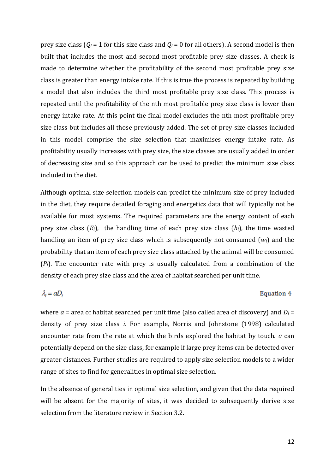prey size class ( $Q_i = 1$  for this size class and  $Q_i = 0$  for all others). A second model is then built that includes the most and second most profitable prey size classes. A check is made to determine whether the profitability of the second most profitable prey size class is greater than energy intake rate. If this is true the process is repeated by building a model that also includes the third most profitable prey size class. This process is repeated until the profitability of the nth most profitable prey size class is lower than energy intake rate. At this point the final model excludes the nth most profitable prey size class but includes all those previously added. The set of prey size classes included in this model comprise the size selection that maximises energy intake rate. As profitability usually increases with prey size, the size classes are usually added in order of decreasing size and so this approach can be used to predict the minimum size class included in the diet.

Although optimal size selection models can predict the minimum size of prey included in the diet, they require detailed foraging and energetics data that will typically not be available for most systems. The required parameters are the energy content of each prey size class (*Ei*), the handling time of each prey size class (*hi*), the time wasted handling an item of prey size class which is subsequently not consumed (*wi*) and the probability that an item of each prey size class attacked by the animal will be consumed (*Pi*). The encounter rate with prey is usually calculated from a combination of the density of each prey size class and the area of habitat searched per unit time.

$$
f_{\rm{max}}
$$

 $\lambda_i = aD_i$ 

#### Equation 4

where  $a$  = area of habitat searched per unit time (also called area of discovery) and  $D_i$  = density of prey size class *i*. For example, Norris and Johnstone (1998) calculated encounter rate from the rate at which the birds explored the habitat by touch. *a* can potentially depend on the size class, for example if large prey items can be detected over greater distances. Further studies are required to apply size selection models to a wider range of sites to find for generalities in optimal size selection.

In the absence of generalities in optimal size selection, and given that the data required will be absent for the majority of sites, it was decided to subsequently derive size selection from the literature review in Section 3.2.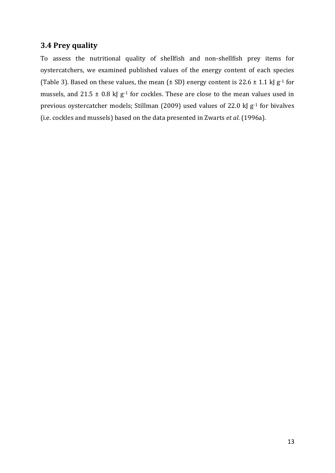## <span id="page-12-0"></span>**3.4 Prey quality**

To assess the nutritional quality of shellfish and non-shellfish prey items for oystercatchers, we examined published values of the energy content of each species (Table 3). Based on these values, the mean ( $\pm$  SD) energy content is 22.6  $\pm$  1.1 kJ g<sup>-1</sup> for mussels, and 21.5  $\pm$  0.8 kJ g<sup>-1</sup> for cockles. These are close to the mean values used in previous oystercatcher models; Stillman (2009) used values of 22.0 kJ g<sup>-1</sup> for bivalves (i.e. cockles and mussels) based on the data presented in Zwarts *et al*. (1996a).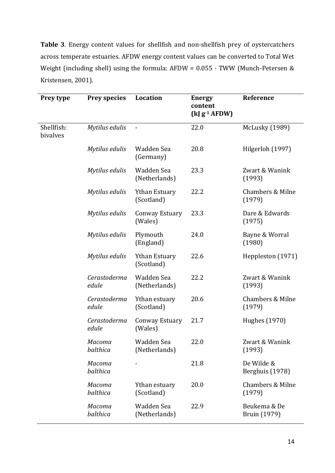**Table 3**. Energy content values for shellfish and non-shellfish prey of oystercatchers across temperate estuaries. AFDW energy content values can be converted to Total Wet Weight (including shell) using the formula: AFDW =  $0.055 \cdot TWW$  (Munch-Petersen & Kristensen, 2001).

| Prey type              | <b>Prey species</b>   | Location                           | <b>Energy</b><br>content<br>$(kJg^{-1}$ AFDW) | Reference                             |
|------------------------|-----------------------|------------------------------------|-----------------------------------------------|---------------------------------------|
| Shellfish:<br>bivalves | Mytilus edulis        | $\overline{\phantom{a}}$           | 22.0                                          | McLusky (1989)                        |
|                        | Mytilus edulis        | Wadden Sea<br>(Germany)            | 20.8                                          | Hilgerloh (1997)                      |
|                        | Mytilus edulis        | Wadden Sea<br>(Netherlands)        | 23.3                                          | Zwart & Wanink<br>(1993)              |
|                        | Mytilus edulis        | <b>Ythan Estuary</b><br>(Scotland) | 22.2                                          | Chambers & Milne<br>(1979)            |
|                        | Mytilus edulis        | <b>Conway Estuary</b><br>(Wales)   | 23.3                                          | Dare & Edwards<br>(1975)              |
|                        | Mytilus edulis        | Plymouth<br>(England)              | 24.0                                          | Bayne & Worral<br>(1980)              |
|                        | Mytilus edulis        | <b>Ythan Estuary</b><br>(Scotland) | 22.6                                          | Heppleston (1971)                     |
|                        | Cerastoderma<br>edule | Wadden Sea<br>(Netherlands)        | 22.2                                          | Zwart & Wanink<br>(1993)              |
|                        | Cerastoderma<br>edule | Ythan estuary<br>(Scotland)        | 20.6                                          | <b>Chambers &amp; Milne</b><br>(1979) |
|                        | Cerastoderma<br>edule | Conway Estuary<br>(Wales)          | 21.7                                          | Hughes (1970)                         |
|                        | Macoma<br>balthica    | Wadden Sea<br>(Netherlands)        | 22.0                                          | Zwart & Wanink<br>(1993)              |
|                        | Macoma<br>balthica    |                                    | 21.8                                          | De Wilde &<br>Berghuis (1978)         |
|                        | Macoma<br>balthica    | Ythan estuary<br>(Scotland)        | 20.0                                          | <b>Chambers &amp; Milne</b><br>(1979) |
|                        | Macoma<br>balthica    | Wadden Sea<br>(Netherlands)        | 22.9                                          | Beukema & De<br>Bruin (1979)          |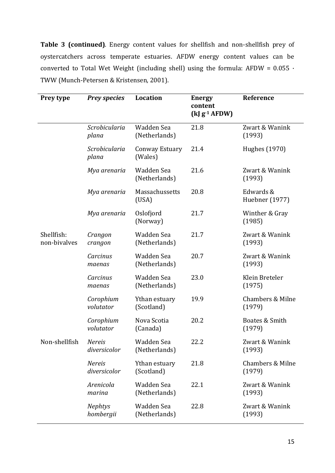**Table 3 (continued)**. Energy content values for shellfish and non-shellfish prey of oystercatchers across temperate estuaries. AFDW energy content values can be converted to Total Wet Weight (including shell) using the formula: AFDW =  $0.055 \cdot$ TWW (Munch-Petersen & Kristensen, 2001).

| Prey type                  | <b>Prey species</b>           | Location                    | <b>Energy</b><br>content<br>$(kJg^{-1}$ AFDW) | Reference                             |
|----------------------------|-------------------------------|-----------------------------|-----------------------------------------------|---------------------------------------|
|                            | Scrobicularia<br>plana        | Wadden Sea<br>(Netherlands) | 21.8                                          | Zwart & Wanink<br>(1993)              |
|                            | Scrobicularia<br>plana        | Conway Estuary<br>(Wales)   | 21.4                                          | Hughes (1970)                         |
|                            | Mya arenaria                  | Wadden Sea<br>(Netherlands) | 21.6                                          | Zwart & Wanink<br>(1993)              |
|                            | Mya arenaria                  | Massachussetts<br>(USA)     | 20.8                                          | Edwards &<br>Huebner (1977)           |
|                            | Mya arenaria                  | Oslofjord<br>(Norway)       | 21.7                                          | Winther & Gray<br>(1985)              |
| Shellfish:<br>non-bivalves | Crangon<br>crangon            | Wadden Sea<br>(Netherlands) | 21.7                                          | Zwart & Wanink<br>(1993)              |
|                            | Carcinus<br>maenas            | Wadden Sea<br>(Netherlands) | 20.7                                          | Zwart & Wanink<br>(1993)              |
|                            | Carcinus<br>maenas            | Wadden Sea<br>(Netherlands) | 23.0                                          | Klein Breteler<br>(1975)              |
|                            | Corophium<br>volutator        | Ythan estuary<br>(Scotland) | 19.9                                          | <b>Chambers &amp; Milne</b><br>(1979) |
|                            | Corophium<br>volutator        | Nova Scotia<br>(Canada)     | 20.2                                          | Boates & Smith<br>(1979)              |
| Non-shellfish              | <b>Nereis</b><br>diversicolor | Wadden Sea<br>(Netherlands) | 22.2                                          | Zwart & Wanink<br>(1993)              |
|                            | <b>Nereis</b><br>diversicolor | Ythan estuary<br>(Scotland) | 21.8                                          | Chambers & Milne<br>(1979)            |
|                            | Arenicola<br>marina           | Wadden Sea<br>(Netherlands) | 22.1                                          | Zwart & Wanink<br>(1993)              |
|                            | <b>Nephtys</b><br>hombergii   | Wadden Sea<br>(Netherlands) | 22.8                                          | Zwart & Wanink<br>(1993)              |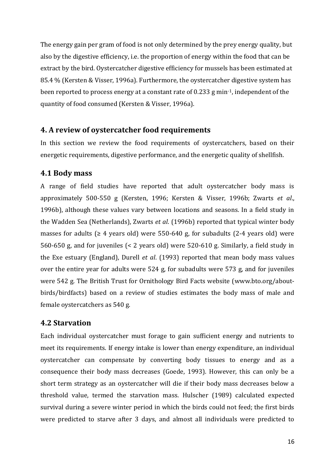The energy gain per gram of food is not only determined by the prey energy quality, but also by the digestive efficiency, i.e. the proportion of energy within the food that can be extract by the bird. Oystercatcher digestive efficiency for mussels has been estimated at 85.4 % (Kersten & Visser, 1996a). Furthermore, the oystercatcher digestive system has been reported to process energy at a constant rate of 0.233 g min-1, independent of the quantity of food consumed (Kersten & Visser, 1996a).

#### <span id="page-15-0"></span>**4. A review of oystercatcher food requirements**

In this section we review the food requirements of oystercatchers, based on their energetic requirements, digestive performance, and the energetic quality of shellfish.

#### <span id="page-15-1"></span>**4.1 Body mass**

A range of field studies have reported that adult oystercatcher body mass is approximately 500-550 g (Kersten, 1996; Kersten & Visser, 1996b; Zwarts *et al*., 1996b), although these values vary between locations and seasons. In a field study in the Wadden Sea (Netherlands), Zwarts *et al*. (1996b) reported that typical winter body masses for adults ( $\geq 4$  years old) were 550-640 g, for subadults (2-4 years old) were 560-650 g, and for juveniles (< 2 years old) were 520-610 g. Similarly, a field study in the Exe estuary (England), Durell *et al*. (1993) reported that mean body mass values over the entire year for adults were 524 g, for subadults were 573 g, and for juveniles were 542 g. The British Trust for Ornithology Bird Facts website (www.bto.org/aboutbirds/birdfacts) based on a review of studies estimates the body mass of male and female oystercatchers as 540 g.

#### <span id="page-15-2"></span>**4.2 Starvation**

Each individual oystercatcher must forage to gain sufficient energy and nutrients to meet its requirements. If energy intake is lower than energy expenditure, an individual oystercatcher can compensate by converting body tissues to energy and as a consequence their body mass decreases (Goede, 1993). However, this can only be a short term strategy as an oystercatcher will die if their body mass decreases below a threshold value, termed the starvation mass. Hulscher (1989) calculated expected survival during a severe winter period in which the birds could not feed; the first birds were predicted to starve after 3 days, and almost all individuals were predicted to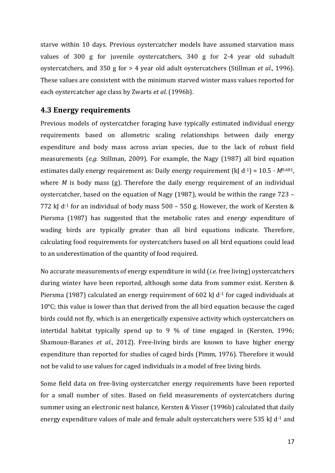starve within 10 days. Previous oystercatcher models have assumed starvation mass values of 300 g for juvenile oystercatchers, 340 g for 2-4 year old subadult oystercatchers, and 350 g for > 4 year old adult oystercatchers (Stillman *et al*., 1996). These values are consistent with the minimum starved winter mass values reported for each oystercatcher age class by Zwarts *et al*. (1996b).

#### <span id="page-16-0"></span>**4.3 Energy requirements**

Previous models of oystercatcher foraging have typically estimated individual energy requirements based on allometric scaling relationships between daily energy expenditure and body mass across avian species, due to the lack of robust field measurements (*e.g.* Stillman, 2009). For example, the Nagy (1987) all bird equation estimates daily energy requirement as: Daily energy requirement (kJ  $d^{-1}$ ) = 10.5  $\cdot$  *M*<sup>0.681</sup>, where *M* is body mass (g). Therefore the daily energy requirement of an individual oystercatcher, based on the equation of Nagy (1987), would be within the range 723 – 772 kJ d<sup>-1</sup> for an individual of body mass  $500 - 550$  g. However, the work of Kersten & Piersma (1987) has suggested that the metabolic rates and energy expenditure of wading birds are typically greater than all bird equations indicate. Therefore, calculating food requirements for oystercatchers based on all bird equations could lead to an underestimation of the quantity of food required.

No accurate measurements of energy expenditure in wild (*i.e.* free living) oystercatchers during winter have been reported, although some data from summer exist. Kersten & Piersma (1987) calculated an energy requirement of 602 kJ  $d<sup>-1</sup>$  for caged individuals at  $10^{\circ}$ C; this value is lower than that derived from the all bird equation because the caged birds could not fly, which is an energetically expensive activity which oystercatchers on intertidal habitat typically spend up to 9 % of time engaged in (Kersten, 1996; Shamoun-Baranes *et al*., 2012). Free-living birds are known to have higher energy expenditure than reported for studies of caged birds (Pimm, 1976). Therefore it would not be valid to use values for caged individuals in a model of free living birds.

Some field data on free-living oystercatcher energy requirements have been reported for a small number of sites. Based on field measurements of oystercatchers during summer using an electronic nest balance, Kersten & Visser (1996b) calculated that daily energy expenditure values of male and female adult oystercatchers were 535 kJ  $d<sup>-1</sup>$  and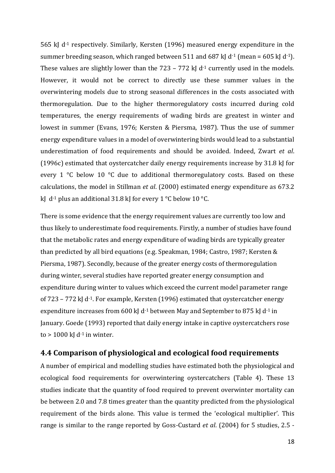565 kJ d-1 respectively. Similarly, Kersten (1996) measured energy expenditure in the summer breeding season, which ranged between 511 and 687 kJ d<sup>-1</sup> (mean = 605 kJ d<sup>-1</sup>). These values are slightly lower than the  $723 - 772$  kJ d<sup>-1</sup> currently used in the models. However, it would not be correct to directly use these summer values in the overwintering models due to strong seasonal differences in the costs associated with thermoregulation. Due to the higher thermoregulatory costs incurred during cold temperatures, the energy requirements of wading birds are greatest in winter and lowest in summer (Evans, 1976; Kersten & Piersma, 1987). Thus the use of summer energy expenditure values in a model of overwintering birds would lead to a substantial underestimation of food requirements and should be avoided. Indeed, Zwart *et al*. (1996c) estimated that oystercatcher daily energy requirements increase by 31.8 kJ for every 1 °C below 10 °C due to additional thermoregulatory costs. Based on these calculations, the model in Stillman *et al*. (2000) estimated energy expenditure as 673.2 kJ d<sup>-1</sup> plus an additional 31.8 kJ for every 1 °C below 10 °C.

There is some evidence that the energy requirement values are currently too low and thus likely to underestimate food requirements. Firstly, a number of studies have found that the metabolic rates and energy expenditure of wading birds are typically greater than predicted by all bird equations (e.g. Speakman, 1984; Castro, 1987; Kersten & Piersma, 1987). Secondly, because of the greater energy costs of thermoregulation during winter, several studies have reported greater energy consumption and expenditure during winter to values which exceed the current model parameter range of 723 – 772 kJ d<sup>-1</sup>. For example, Kersten (1996) estimated that oystercatcher energy expenditure increases from 600 kJ d<sup>-1</sup> between May and September to 875 kJ d<sup>-1</sup> in January. Goede (1993) reported that daily energy intake in captive oystercatchers rose to  $> 1000$  kJ d<sup>-1</sup> in winter.

#### <span id="page-17-0"></span>**4.4 Comparison of physiological and ecological food requirements**

A number of empirical and modelling studies have estimated both the physiological and ecological food requirements for overwintering oystercatchers (Table 4). These 13 studies indicate that the quantity of food required to prevent overwinter mortality can be between 2.0 and 7.8 times greater than the quantity predicted from the physiological requirement of the birds alone. This value is termed the 'ecological multiplier'. This range is similar to the range reported by Goss-Custard *et al*. (2004) for 5 studies, 2.5 -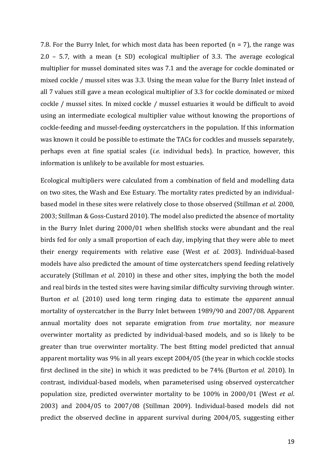7.8. For the Burry Inlet, for which most data has been reported  $(n = 7)$ , the range was 2.0 – 5.7, with a mean  $(\pm SD)$  ecological multiplier of 3.3. The average ecological multiplier for mussel dominated sites was 7.1 and the average for cockle dominated or mixed cockle / mussel sites was 3.3. Using the mean value for the Burry Inlet instead of all 7 values still gave a mean ecological multiplier of 3.3 for cockle dominated or mixed cockle / mussel sites. In mixed cockle / mussel estuaries it would be difficult to avoid using an intermediate ecological multiplier value without knowing the proportions of cockle-feeding and mussel-feeding oystercatchers in the population. If this information was known it could be possible to estimate the TACs for cockles and mussels separately, perhaps even at fine spatial scales (*i.e.* individual beds). In practice, however, this information is unlikely to be available for most estuaries.

Ecological multipliers were calculated from a combination of field and modelling data on two sites, the Wash and Exe Estuary. The mortality rates predicted by an individualbased model in these sites were relatively close to those observed (Stillman *et al*. 2000, 2003; Stillman & Goss-Custard 2010). The model also predicted the absence of mortality in the Burry Inlet during 2000/01 when shellfish stocks were abundant and the real birds fed for only a small proportion of each day, implying that they were able to meet their energy requirements with relative ease (West *et al*. 2003). Individual-based models have also predicted the amount of time oystercatchers spend feeding relatively accurately (Stillman *et al*. 2010) in these and other sites, implying the both the model and real birds in the tested sites were having similar difficulty surviving through winter. Burton *et al.* (2010) used long term ringing data to estimate the *apparent* annual mortality of oystercatcher in the Burry Inlet between 1989/90 and 2007/08. Apparent annual mortality does not separate emigration from *true* mortality, nor measure overwinter mortality as predicted by individual-based models, and so is likely to be greater than true overwinter mortality. The best fitting model predicted that annual apparent mortality was 9% in all years except 2004/05 (the year in which cockle stocks first declined in the site) in which it was predicted to be 74% (Burton *et al.* 2010). In contrast, individual-based models, when parameterised using observed oystercatcher population size, predicted overwinter mortality to be 100% in 2000/01 (West *et al*. 2003) and 2004/05 to 2007/08 (Stillman 2009). Individual-based models did not predict the observed decline in apparent survival during 2004/05, suggesting either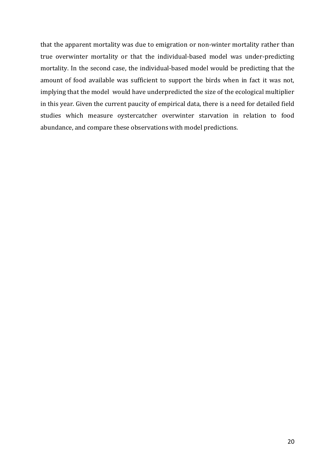that the apparent mortality was due to emigration or non-winter mortality rather than true overwinter mortality or that the individual-based model was under-predicting mortality. In the second case, the individual-based model would be predicting that the amount of food available was sufficient to support the birds when in fact it was not, implying that the model would have underpredicted the size of the ecological multiplier in this year. Given the current paucity of empirical data, there is a need for detailed field studies which measure oystercatcher overwinter starvation in relation to food abundance, and compare these observations with model predictions.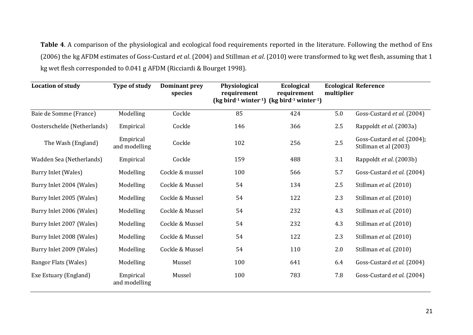**Table 4**. A comparison of the physiological and ecological food requirements reported in the literature. Following the method of Ens (2006) the kg AFDM estimates of Goss-Custard *et al*. (2004) and Stillman *et al*. (2010) were transformed to kg wet flesh, assuming that 1 kg wet flesh corresponded to 0.041 g AFDM (Ricciardi & Bourget 1998).

| <b>Location of study</b>    | Type of study              | <b>Dominant prey</b><br>species | Physiological<br>requirement<br>$\left(\frac{1}{2}$ bird <sup>-1</sup> winter <sup>-1</sup> ) $\left(\frac{1}{2}$ bird <sup>-1</sup> winter <sup>-1</sup> ) | Ecological<br>requirement | multiplier | <b>Ecological Reference</b>                          |
|-----------------------------|----------------------------|---------------------------------|-------------------------------------------------------------------------------------------------------------------------------------------------------------|---------------------------|------------|------------------------------------------------------|
| Baie de Somme (France)      | Modelling                  | Cockle                          | 85                                                                                                                                                          | 424                       | 5.0        | Goss-Custard et al. (2004)                           |
| Oosterschelde (Netherlands) | Empirical                  | Cockle                          | 146                                                                                                                                                         | 366                       | 2.5        | Rappoldt et al. (2003a)                              |
| The Wash (England)          | Empirical<br>and modelling | Cockle                          | 102                                                                                                                                                         | 256                       | 2.5        | Goss-Custard et al. (2004);<br>Stillman et al (2003) |
| Wadden Sea (Netherlands)    | Empirical                  | Cockle                          | 159                                                                                                                                                         | 488                       | 3.1        | Rappoldt et al. (2003b)                              |
| Burry Inlet (Wales)         | Modelling                  | Cockle & mussel                 | 100                                                                                                                                                         | 566                       | 5.7        | Goss-Custard et al. (2004)                           |
| Burry Inlet 2004 (Wales)    | Modelling                  | Cockle & Mussel                 | 54                                                                                                                                                          | 134                       | 2.5        | Stillman et al. (2010)                               |
| Burry Inlet 2005 (Wales)    | Modelling                  | Cockle & Mussel                 | 54                                                                                                                                                          | 122                       | 2.3        | Stillman et al. (2010)                               |
| Burry Inlet 2006 (Wales)    | Modelling                  | Cockle & Mussel                 | 54                                                                                                                                                          | 232                       | 4.3        | Stillman et al. (2010)                               |
| Burry Inlet 2007 (Wales)    | Modelling                  | Cockle & Mussel                 | 54                                                                                                                                                          | 232                       | 4.3        | Stillman et al. (2010)                               |
| Burry Inlet 2008 (Wales)    | Modelling                  | Cockle & Mussel                 | 54                                                                                                                                                          | 122                       | 2.3        | Stillman et al. (2010)                               |
| Burry Inlet 2009 (Wales)    | Modelling                  | Cockle & Mussel                 | 54                                                                                                                                                          | 110                       | 2.0        | Stillman et al. (2010)                               |
| <b>Bangor Flats (Wales)</b> | Modelling                  | Mussel                          | 100                                                                                                                                                         | 641                       | 6.4        | Goss-Custard et al. (2004)                           |
| Exe Estuary (England)       | Empirical<br>and modelling | Mussel                          | 100                                                                                                                                                         | 783                       | 7.8        | Goss-Custard et al. (2004)                           |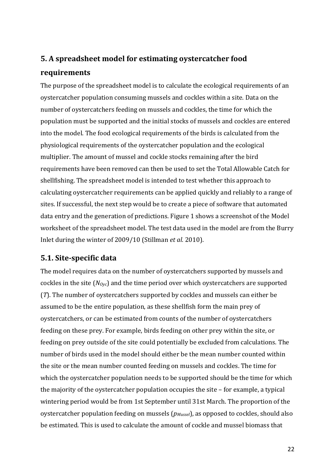# <span id="page-21-0"></span>**5. A spreadsheet model for estimating oystercatcher food requirements**

The purpose of the spreadsheet model is to calculate the ecological requirements of an oystercatcher population consuming mussels and cockles within a site. Data on the number of oystercatchers feeding on mussels and cockles, the time for which the population must be supported and the initial stocks of mussels and cockles are entered into the model. The food ecological requirements of the birds is calculated from the physiological requirements of the oystercatcher population and the ecological multiplier. The amount of mussel and cockle stocks remaining after the bird requirements have been removed can then be used to set the Total Allowable Catch for shellfishing. The spreadsheet model is intended to test whether this approach to calculating oystercatcher requirements can be applied quickly and reliably to a range of sites. If successful, the next step would be to create a piece of software that automated data entry and the generation of predictions. Figure 1 shows a screenshot of the Model worksheet of the spreadsheet model. The test data used in the model are from the Burry Inlet during the winter of 2009/10 (Stillman *et al.* 2010).

### <span id="page-21-1"></span>**5.1. Site-specific data**

The model requires data on the number of oystercatchers supported by mussels and cockles in the site (*NOyc*) and the time period over which oystercatchers are supported (*T*). The number of oystercatchers supported by cockles and mussels can either be assumed to be the entire population, as these shellfish form the main prey of oystercatchers, or can be estimated from counts of the number of oystercatchers feeding on these prey. For example, birds feeding on other prey within the site, or feeding on prey outside of the site could potentially be excluded from calculations. The number of birds used in the model should either be the mean number counted within the site or the mean number counted feeding on mussels and cockles. The time for which the oystercatcher population needs to be supported should be the time for which the majority of the oystercatcher population occupies the site – for example, a typical wintering period would be from 1st September until 31st March. The proportion of the oystercatcher population feeding on mussels (*pMussel*), as opposed to cockles, should also be estimated. This is used to calculate the amount of cockle and mussel biomass that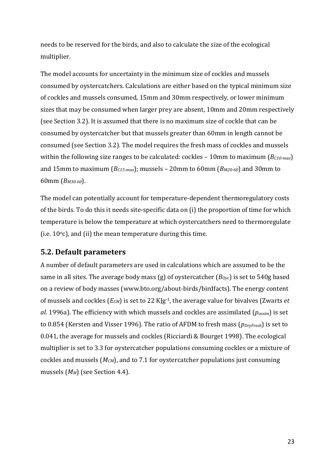needs to be reserved for the birds, and also to calculate the size of the ecological multiplier.

The model accounts for uncertainty in the minimum size of cockles and mussels consumed by oystercatchers. Calculations are either based on the typical minimum size of cockles and mussels consumed, 15mm and 30mm respectively, or lower minimum sizes that may be consumed when larger prey are absent, 10mm and 20mm respectively (see Section 3.2). It is assumed that there is no maximum size of cockle that can be consumed by oystercatcher but that mussels greater than 60mm in length cannot be consumed (see Section 3.2). The model requires the fresh mass of cockles and mussels within the following size ranges to be calculated: cockles – 10mm to maximum (*BC10-max*) and 15mm to maximum (*BC15-max*); mussels – 20mm to 60mm (*BM20-60*) and 30mm to 60mm (*BM30-60*).

The model can potentially account for temperature-dependent thermoregulatory costs of the birds. To do this it needs site-specific data on (i) the proportion of time for which temperature is below the temperature at which oystercatchers need to thermoregulate (i.e.  $10^{\circ}$ c), and (ii) the mean temperature during this time.

### <span id="page-22-0"></span>**5.2. Default parameters**

A number of default parameters are used in calculations which are assumed to be the same in all sites. The average body mass (g) of oystercatcher (*BOyc*) is set to 540g based on a review of body masses (www.bto.org/about-birds/birdfacts). The energy content of mussels and cockles (*ECM*) is set to 22 KJg-1, the average value for bivalves (Zwarts *et al*. 1996a). The efficiency with which mussels and cockles are assimilated (*passim*) is set to 0.854 (Kersten and Visser 1996). The ratio of AFDM to fresh mass (*pDryFresh*) is set to 0.041, the average for mussels and cockles (Ricciardi & Bourget 1998). The ecological multiplier is set to 3.3 for oystercatcher populations consuming cockles or a mixture of cockles and mussels (*MCM*), and to 7.1 for oystercatcher populations just consuming mussels (*MM*) (see Section 4.4).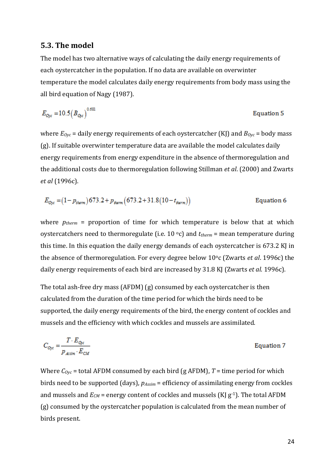#### <span id="page-23-0"></span>**5.3. The model**

The model has two alternative ways of calculating the daily energy requirements of each oystercatcher in the population. If no data are available on overwinter temperature the model calculates daily energy requirements from body mass using the all bird equation of Nagy (1987).

$$
E_{\text{Oyc}} = 10.5 \left( B_{\text{Oyc}} \right)^{0.681}
$$
 Equation 5

where *EOyc* = daily energy requirements of each oystercatcher (KJ) and *BOyc* = body mass (g). If suitable overwinter temperature data are available the model calculates daily energy requirements from energy expenditure in the absence of thermoregulation and the additional costs due to thermoregulation following Stillman *et al*. (2000) and Zwarts *et al* (1996c).

$$
E_{\text{Ouc}} = (1 - p_{\text{therm}}) 673.2 + p_{\text{therm}} (673.2 + 31.8(10 - t_{\text{therm}}))
$$
 Equation 6

where *ptherm* = proportion of time for which temperature is below that at which oystercatchers need to thermoregulate (i.e. 10 °c) and  $t_{therm}$  = mean temperature during this time. In this equation the daily energy demands of each oystercatcher is 673.2 KJ in the absence of thermoregulation. For every degree below 10<sup>o</sup>c (Zwarts *et al.* 1996c) the daily energy requirements of each bird are increased by 31.8 KJ (Zwarts *et al*. 1996c).

The total ash-free dry mass (AFDM) (g) consumed by each oystercatcher is then calculated from the duration of the time period for which the birds need to be supported, the daily energy requirements of the bird, the energy content of cockles and mussels and the efficiency with which cockles and mussels are assimilated.

$$
C_{Qyc} = \frac{T \cdot E_{Qyc}}{p_{Atsim} \cdot E_{CM}}
$$
 Equation 7

Where  $C_{Oyc}$  = total AFDM consumed by each bird (g AFDM),  $T$  = time period for which birds need to be supported (days), *pAssim* = efficiency of assimilating energy from cockles and mussels and  $E_{CM}$  = energy content of cockles and mussels (KJ  $g^{-1}$ ). The total AFDM (g) consumed by the oystercatcher population is calculated from the mean number of birds present.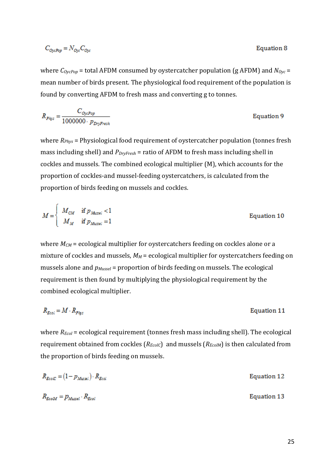$$
C_{OycPop} = N_{Oyc} C_{Oyc}
$$

where *COycPop* = total AFDM consumed by oystercatcher population (g AFDM) and *NOyc* = mean number of birds present. The physiological food requirement of the population is found by converting AFDM to fresh mass and converting g to tonnes.

$$
R_{P\hat{p}_s} = \frac{C_{O_0 \times Pop}}{1000000 \cdot p_{D\hat{p}_s F s s h}}
$$
Equation 9

where *RPhys* = Physiological food requirement of oystercatcher population (tonnes fresh mass including shell) and *PDryFresh* = ratio of AFDM to fresh mass including shell in cockles and mussels. The combined ecological multiplier (M), which accounts for the proportion of cockles-and mussel-feeding oystercatchers, is calculated from the proportion of birds feeding on mussels and cockles.

$$
M = \begin{cases} M_{CM} & \text{if } p_{Mussel} < 1 \\ M_M & \text{if } p_{Mussel} = 1 \end{cases} \tag{Equation 10}
$$

where  $M_{CM}$  = ecological multiplier for oystercatchers feeding on cockles alone or a mixture of cockles and mussels,  $M_M$  = ecological multiplier for oystercatchers feeding on mussels alone and *pMussel* = proportion of birds feeding on mussels. The ecological requirement is then found by multiplying the physiological requirement by the combined ecological multiplier.

$$
R_{Ecol} = M \cdot R_{P/q:s}
$$
 Equation 11

where *REcol* = ecological requirement (tonnes fresh mass including shell). The ecological requirement obtained from cockles ( $R_{EcolC}$ ) and mussels ( $R_{EcolM}$ ) is then calculated from the proportion of birds feeding on mussels.

| $R_{EcoIC} = (1-p_{Mussel}) \cdot R_{Ecol}$ | Equation 12 |
|---------------------------------------------|-------------|
| $R_{EcolM} = p_{Mussel} \cdot R_{Ecol}$     | Equation 13 |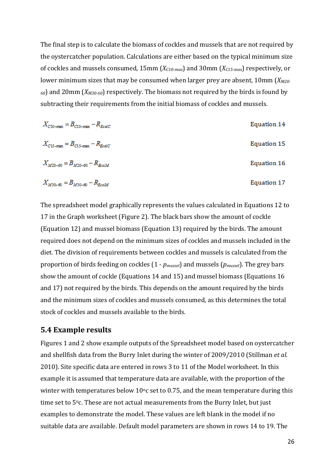The final step is to calculate the biomass of cockles and mussels that are not required by the oystercatcher population. Calculations are either based on the typical minimum size of cockles and mussels consumed, 15mm (*XC10-max*) and 30mm (*XC15-max*) respectively, or lower minimum sizes that may be consumed when larger prey are absent, 10mm (*XM20- <sup>60</sup>*) and 20mm (*XM30-60*) respectively. The biomass not required by the birds is found by subtracting their requirements from the initial biomass of cockles and mussels.

| $X_{C10-max} = B_{C10-max} - R_{EcolC}$ | Equation 14 |
|-----------------------------------------|-------------|
| $X_{C15-max} = B_{C15-max} - R_{EcolC}$ | Equation 15 |
| $X_{M20-60} = B_{M20-60} - R_{EtolM}$   | Equation 16 |
| $X_{M30-60} = B_{M30-60} - R_{EcoM}$    | Equation 17 |

The spreadsheet model graphically represents the values calculated in Equations 12 to 17 in the Graph worksheet (Figure 2). The black bars show the amount of cockle (Equation 12) and mussel biomass (Equation 13) required by the birds. The amount required does not depend on the minimum sizes of cockles and mussels included in the diet. The division of requirements between cockles and mussels is calculated from the proportion of birds feeding on cockles (1 - *pmussel*) and mussels (*pmussel*). The grey bars show the amount of cockle (Equations 14 and 15) and mussel biomass (Equations 16 and 17) not required by the birds. This depends on the amount required by the birds and the minimum sizes of cockles and mussels consumed, as this determines the total stock of cockles and mussels available to the birds.

#### <span id="page-25-0"></span>**5.4 Example results**

Figures 1 and 2 show example outputs of the Spreadsheet model based on oystercatcher and shellfish data from the Burry Inlet during the winter of 2009/2010 (Stillman *et al.* 2010). Site specific data are entered in rows 3 to 11 of the Model worksheet. In this example it is assumed that temperature data are available, with the proportion of the winter with temperatures below  $10^{\circ}$ c set to 0.75, and the mean temperature during this time set to 5°c. These are not actual measurements from the Burry Inlet, but just examples to demonstrate the model. These values are left blank in the model if no suitable data are available. Default model parameters are shown in rows 14 to 19. The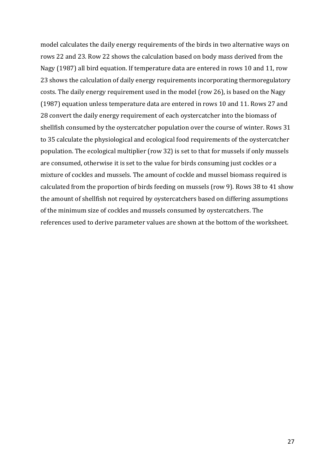model calculates the daily energy requirements of the birds in two alternative ways on rows 22 and 23. Row 22 shows the calculation based on body mass derived from the Nagy (1987) all bird equation. If temperature data are entered in rows 10 and 11, row 23 shows the calculation of daily energy requirements incorporating thermoregulatory costs. The daily energy requirement used in the model (row 26), is based on the Nagy (1987) equation unless temperature data are entered in rows 10 and 11. Rows 27 and 28 convert the daily energy requirement of each oystercatcher into the biomass of shellfish consumed by the oystercatcher population over the course of winter. Rows 31 to 35 calculate the physiological and ecological food requirements of the oystercatcher population. The ecological multiplier (row 32) is set to that for mussels if only mussels are consumed, otherwise it is set to the value for birds consuming just cockles or a mixture of cockles and mussels. The amount of cockle and mussel biomass required is calculated from the proportion of birds feeding on mussels (row 9). Rows 38 to 41 show the amount of shellfish not required by oystercatchers based on differing assumptions of the minimum size of cockles and mussels consumed by oystercatchers. The references used to derive parameter values are shown at the bottom of the worksheet.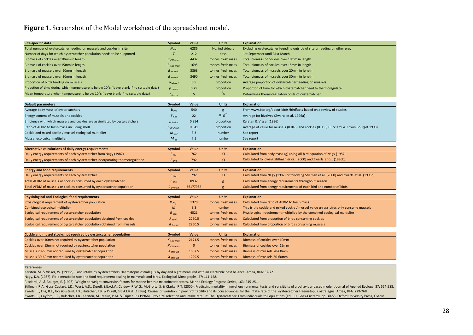#### **Figure 1.** Screenshot of the Model worksheet of the spreadsheet model.

| Site-specific data                                                                         | Symbol                  | Value          | <b>Units</b>      | <b>Explanation</b>                                                                        |
|--------------------------------------------------------------------------------------------|-------------------------|----------------|-------------------|-------------------------------------------------------------------------------------------|
| Total number of oystercatcher feeding on mussels and cockles in site                       | $N_{oyc}$               | 6286           | No. individuals   | Excluding oystercatcher feeeding outside of site or feeding on other prey                 |
| Number of days for which oystercatcher population needs to be supported                    | $\tau$                  | 212            | days              | 1st September until 31st March                                                            |
| Biomass of cockles over 10mm in length                                                     | B $_{\textit{C10-max}}$ | 4432           | tonnes fresh mass | Total biomass of cockles over 10mm in length                                              |
| Biomass of cockles over 15mm in length                                                     | $B_{C15 \cdot max}$     | 1695           | tonnes fresh mass | Total biomass of cockles over 15mm in length                                              |
| Biomass of mussels over 20mm in length                                                     | $B_{M20-60}$            | 3868           | tonnes fresh mass | Total biomass of mussels over 20mm in length                                              |
| Biomass of mussels over 30mm in length                                                     | $B_{M30-60}$            | 3490           | tonnes fresh mass | Total biomass of mussels over 30mm in length                                              |
| Proportion of birds feeding on mussels                                                     | $p$ Mussel              | 0.5            | proportion        | Average proportion of oystercatcher feeding on mussels                                    |
| Propotion of time during which temperature is below 10°c (leave blank if no suitable data) | $p_{therm}$             | 0.75           | proportion        | Proportion of time for which oystercatcher need to thermoregulate                         |
| Mean temperature when temperature is below 10°c (leave blank if no suitable data)          | $t_{therm}$             | 5              | $^{\circ}$ c      | Determines thermoregulatory costs of oystercatcher                                        |
|                                                                                            |                         |                |                   |                                                                                           |
| Default parameters                                                                         | Symbol                  | Value          | <b>Units</b>      | Explanation                                                                               |
| Average body mass of oystercatchers                                                        | $B_{Oyc}$               | 540            | g                 | From www.bto.org/about-birds/birdfacts based on a review of studies                       |
| Energy content of mussels and cockles                                                      | $E_{CM}$                | 22             | KJ $g^{-1}$       | Average for bivalves (Zwarts et al. 1996a)                                                |
| Efficiency with which mussels and cockles are assimilated by oystercatchers                | $p_{Assim}$             | 0.854          | proportion        | Kersten & Visser (1996)                                                                   |
| Ratio of AFDM to fresh mass including shell                                                | $p_{\textit{DryFresh}}$ | 0.041          | proportion        | Average of value for mussels (0.046) and cockles (0.036) (Ricciardi & Edwin Bourget 1998) |
| Cockle and mixed cockle / mussel ecological multiplier                                     | $M_{CM}$                | 3.3            | number            | See report                                                                                |
| Mussel ecological multiplier                                                               | $M_{M}$                 | 7.1            | number            | See report                                                                                |
|                                                                                            |                         |                |                   |                                                                                           |
| Alternative calculations of daily energy requirements                                      | Symbol                  | Value          | <b>Units</b>      | <b>Explanation</b>                                                                        |
| Daily energy requirements of each oystercatcher from Nagy (1987)                           | $E_{Oyc}$               | 762            | KJ                | Calculated from body mass (g) using all bird equation of Nagy (1987)                      |
| Daily energy requirements of each oystercatcher incorporating thermoregulation             | $E_{\text{OVC}}$        | 792            | KJ.               | Calculated following Stillman et al. (2000) and Zwarts et al. (1996b)                     |
|                                                                                            |                         |                |                   |                                                                                           |
| <b>Energy and food requirements</b>                                                        | Symbol                  | Value          | <b>Units</b>      | <b>Explanation</b>                                                                        |
| Daily energy requirements of each oystercatcher                                            | $E_{Oyc}$               | 792            | KJ                | Calculated from Nagy (1987) or following Stillman et al. (2000) and Zwarts et al. (1996b) |
| Total AFDM of mussels or cockles consumed by each oystercatcher                            | C <sub>Oyc</sub>        | 8937           | g                 | Calculated from energy requirements throughout season                                     |
| Total AFDM of mussels or cockles consumed by oystercatcher population                      | $C_{\textit{OvCPOD}}$   | 56177982       | g                 | Calculated from energy requirements of each bird and number of birds                      |
| <b>Physiological and Ecological food requirements</b>                                      | Symbol                  | Value          | <b>Units</b>      | <b>Explanation</b>                                                                        |
| Physiological requirement of oystercatcher population                                      | $R_{Phys}$              | 1370           | tonnes fresh mass | Calculated from ratio of AFDM to fresh mass                                               |
| Combined ecological multiplier                                                             | M                       | 3.3            | number            | This is the cockle and mixed cockle / mussel value unless birds only consume mussels      |
| Ecological requirement of oystercatcher population                                         | $R_{Ecol}$              | 4521           | tonnes fresh mass | Physiological requirement multiplied by the combined ecological multiplier                |
| Ecological requirement of oystercatcher population obtained from cockles                   | $R_{EcolC}$             | 2260.5         | tonnes fresh mass | Calculated from proportion of birds consuming cockles                                     |
| Ecological requirement of oystercatcher population obtained from mussels                   | $R_{EcolM}$             | 2260.5         | tonnes fresh mass | Calculated from proportion of birds consuming mussels                                     |
|                                                                                            |                         |                |                   |                                                                                           |
| Cockle and mussel stocks not required by oystercatcher population                          | Symbol                  | Value          | <b>Units</b>      | <b>Explanation</b>                                                                        |
| Cockles over 10mm not required by oystercatcher population                                 | $X_{C10 \text{-}max}$   | 2171.5         | tonnes fresh mass | Biomass of cockles over 10mm                                                              |
| Cockles over 15mm not required by oystercatcher population                                 | $X_{C15 \cdot max}$     | $\overline{0}$ | tonnes fresh mass | Biomass of cockles over 15mm                                                              |
| Mussels 20-60mm not required by oystercatcher population                                   | $X_{M20-60}$            | 1607.5         | tonnes fresh mass | Biomass of mussels 20-60mm                                                                |

#### **References**

Kersten, M. & Visser, W. (1996b). Food intake by oystercatchers Haematopus ostralegus by day and night measured with an electronic nest balance. Ardea, 84A: 57-72.

Mussels 30-60mm not required by oystercatcher population *X M30-60* 1229.5 tonnes fresh mass Biomass of mussels 30-60mm

Nagy, K.A. (1987). Field metabolic rate and food requirement scaling in mammals and birds. Ecological Monographs, 57: 111-128.

Ricciardi, A. & Bourget, E. (1998). Weight-to-weight conversion factors for marine benthic macroinvertebrates. Marine Ecology Progress Series, 163: 245-251.

Stillman, R.A., Goss-Custard, J.D., West, A.D., Durell, S.E.A.I.V., Caldow, R.W.G., McGrorty, S. & Clarke, R.T. (2000). Predicting mortality in novel environments: tests and sensitivity of a behaviour-based model. Journal Zwarts, L., Ens, B.J., GossCustard, J.D., Hulscher, J.B. & Durell, S.E.A.I.V.d. (1996a). Causes of variation in prey profitability and its consequences for the intake rate of the oystercatcher Haematopus ostralegus. Ardea, Zwarts, L., Cayford, J.T., Hulscher, J.B., Kersten, M., Meire, P.M. & Triplet, P. (1996b). Prey size selection and intake rate. In: The Oystercatcher: From Individuals to Populations (ed. J.D. Goss-Custard), pp. 30-55. Oxf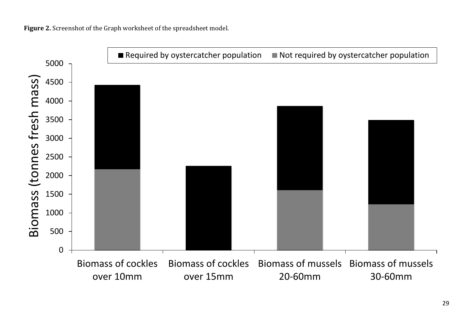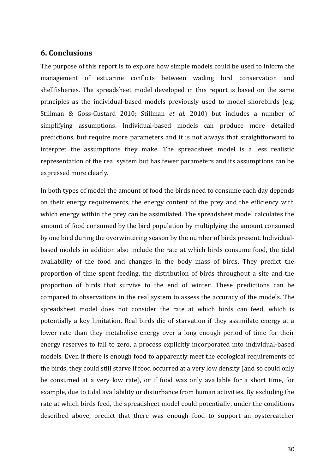### <span id="page-29-0"></span>**6. Conclusions**

The purpose of this report is to explore how simple models could be used to inform the management of estuarine conflicts between wading bird conservation and shellfisheries. The spreadsheet model developed in this report is based on the same principles as the individual-based models previously used to model shorebirds (e.g. Stillman & Goss-Custard 2010; Stillman *et al.* 2010) but includes a number of simplifying assumptions. Individual-based models can produce more detailed predictions, but require more parameters and it is not always that straightforward to interpret the assumptions they make. The spreadsheet model is a less realistic representation of the real system but has fewer parameters and its assumptions can be expressed more clearly.

In both types of model the amount of food the birds need to consume each day depends on their energy requirements, the energy content of the prey and the efficiency with which energy within the prey can be assimilated. The spreadsheet model calculates the amount of food consumed by the bird population by multiplying the amount consumed by one bird during the overwintering season by the number of birds present. Individualbased models in addition also include the rate at which birds consume food, the tidal availability of the food and changes in the body mass of birds. They predict the proportion of time spent feeding, the distribution of birds throughout a site and the proportion of birds that survive to the end of winter. These predictions can be compared to observations in the real system to assess the accuracy of the models. The spreadsheet model does not consider the rate at which birds can feed, which is potentially a key limitation. Real birds die of starvation if they assimilate energy at a lower rate than they metabolise energy over a long enough period of time for their energy reserves to fall to zero, a process explicitly incorporated into individual-based models. Even if there is enough food to apparently meet the ecological requirements of the birds, they could still starve if food occurred at a very low density (and so could only be consumed at a very low rate), or if food was only available for a short time, for example, due to tidal availability or disturbance from human activities. By excluding the rate at which birds feed, the spreadsheet model could potentially, under the conditions described above, predict that there was enough food to support an oystercatcher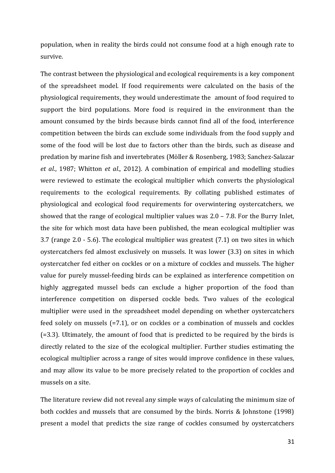population, when in reality the birds could not consume food at a high enough rate to survive.

The contrast between the physiological and ecological requirements is a key component of the spreadsheet model. If food requirements were calculated on the basis of the physiological requirements, they would underestimate the amount of food required to support the bird populations. More food is required in the environment than the amount consumed by the birds because birds cannot find all of the food, interference competition between the birds can exclude some individuals from the food supply and some of the food will be lost due to factors other than the birds, such as disease and predation by marine fish and invertebrates (Möller & Rosenberg, 1983; Sanchez-Salazar *et al*., 1987; Whitton *et al*., 2012). A combination of empirical and modelling studies were reviewed to estimate the ecological multiplier which converts the physiological requirements to the ecological requirements. By collating published estimates of physiological and ecological food requirements for overwintering oystercatchers, we showed that the range of ecological multiplier values was 2.0 – 7.8. For the Burry Inlet, the site for which most data have been published, the mean ecological multiplier was 3.7 (range 2.0 - 5.6). The ecological multiplier was greatest (7.1) on two sites in which oystercatchers fed almost exclusively on mussels. It was lower (3.3) on sites in which oystercatcher fed either on cockles or on a mixture of cockles and mussels. The higher value for purely mussel-feeding birds can be explained as interference competition on highly aggregated mussel beds can exclude a higher proportion of the food than interference competition on dispersed cockle beds. Two values of the ecological multiplier were used in the spreadsheet model depending on whether oystercatchers feed solely on mussels (=7.1), or on cockles or a combination of mussels and cockles (=3.3). Ultimately, the amount of food that is predicted to be required by the birds is directly related to the size of the ecological multiplier. Further studies estimating the ecological multiplier across a range of sites would improve confidence in these values, and may allow its value to be more precisely related to the proportion of cockles and mussels on a site.

The literature review did not reveal any simple ways of calculating the minimum size of both cockles and mussels that are consumed by the birds. Norris & Johnstone (1998) present a model that predicts the size range of cockles consumed by oystercatchers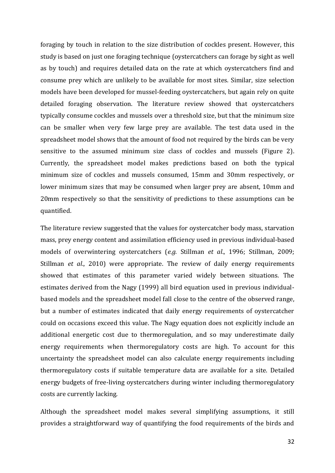foraging by touch in relation to the size distribution of cockles present. However, this study is based on just one foraging technique (oystercatchers can forage by sight as well as by touch) and requires detailed data on the rate at which oystercatchers find and consume prey which are unlikely to be available for most sites. Similar, size selection models have been developed for mussel-feeding oystercatchers, but again rely on quite detailed foraging observation. The literature review showed that oystercatchers typically consume cockles and mussels over a threshold size, but that the minimum size can be smaller when very few large prey are available. The test data used in the spreadsheet model shows that the amount of food not required by the birds can be very sensitive to the assumed minimum size class of cockles and mussels (Figure 2). Currently, the spreadsheet model makes predictions based on both the typical minimum size of cockles and mussels consumed, 15mm and 30mm respectively, or lower minimum sizes that may be consumed when larger prey are absent, 10mm and 20mm respectively so that the sensitivity of predictions to these assumptions can be quantified.

The literature review suggested that the values for oystercatcher body mass, starvation mass, prey energy content and assimilation efficiency used in previous individual-based models of overwintering oystercatchers (*e.g.* Stillman *et al*., 1996; Stillman, 2009; Stillman *et al*., 2010) were appropriate. The review of daily energy requirements showed that estimates of this parameter varied widely between situations. The estimates derived from the Nagy (1999) all bird equation used in previous individualbased models and the spreadsheet model fall close to the centre of the observed range, but a number of estimates indicated that daily energy requirements of oystercatcher could on occasions exceed this value. The Nagy equation does not explicitly include an additional energetic cost due to thermoregulation, and so may underestimate daily energy requirements when thermoregulatory costs are high. To account for this uncertainty the spreadsheet model can also calculate energy requirements including thermoregulatory costs if suitable temperature data are available for a site. Detailed energy budgets of free-living oystercatchers during winter including thermoregulatory costs are currently lacking.

Although the spreadsheet model makes several simplifying assumptions, it still provides a straightforward way of quantifying the food requirements of the birds and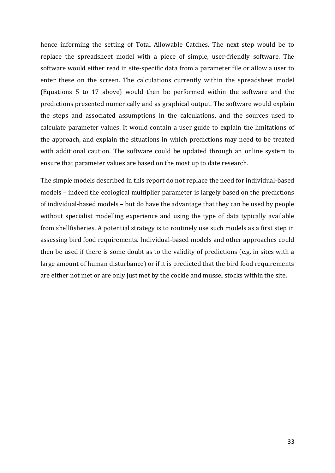hence informing the setting of Total Allowable Catches. The next step would be to replace the spreadsheet model with a piece of simple, user-friendly software. The software would either read in site-specific data from a parameter file or allow a user to enter these on the screen. The calculations currently within the spreadsheet model (Equations 5 to 17 above) would then be performed within the software and the predictions presented numerically and as graphical output. The software would explain the steps and associated assumptions in the calculations, and the sources used to calculate parameter values. It would contain a user guide to explain the limitations of the approach, and explain the situations in which predictions may need to be treated with additional caution. The software could be updated through an online system to ensure that parameter values are based on the most up to date research.

The simple models described in this report do not replace the need for individual-based models – indeed the ecological multiplier parameter is largely based on the predictions of individual-based models – but do have the advantage that they can be used by people without specialist modelling experience and using the type of data typically available from shellfisheries. A potential strategy is to routinely use such models as a first step in assessing bird food requirements. Individual-based models and other approaches could then be used if there is some doubt as to the validity of predictions (e.g. in sites with a large amount of human disturbance) or if it is predicted that the bird food requirements are either not met or are only just met by the cockle and mussel stocks within the site.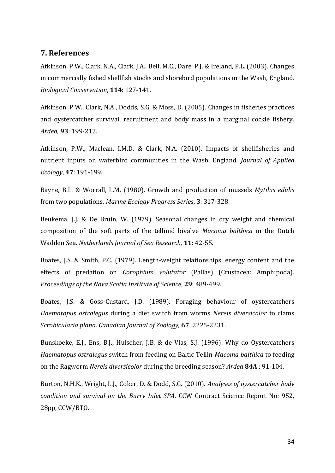#### <span id="page-33-0"></span>**7. References**

Atkinson, P.W., Clark, N.A., Clark, J.A., Bell, M.C., Dare, P.J. & Ireland, P.L. (2003). Changes in commercially fished shellfish stocks and shorebird populations in the Wash, England. *Biological Conservation*, **114**: 127-141.

Atkinson, P.W., Clark, N.A., Dodds, S.G. & Moss, D. (2005). Changes in fisheries practices and oystercatcher survival, recruitment and body mass in a marginal cockle fishery. *Ardea*, **93**: 199-212.

Atkinson, P.W., Maclean, I.M.D. & Clark, N.A. (2010). Impacts of shellfisheries and nutrient inputs on waterbird communities in the Wash, England. *Journal of Applied Ecology*, **47**: 191-199.

Bayne, B.L. & Worrall, L.M. (1980). Growth and production of mussels *Mytilus edulis* from two populations. *Marine Ecology Progress Series*, **3**: 317-328.

Beukema, J.J. & De Bruin, W. (1979). Seasonal changes in dry weight and chemical composition of the soft parts of the tellinid bivalve *Macoma balthica* in the Dutch Wadden Sea. *Netherlands Journal of Sea Research*, **11**: 42-55.

Boates, J.S. & Smith, P.C. (1979). Length-weight relationships, energy content and the effects of predation on *Corophium volutator* (Pallas) (Crustacea: Amphipoda). *Proceedings of the Nova Scotia Institute of Science*, **29**: 489-499.

Boates, J.S. & Goss-Custard, J.D. (1989). Foraging behaviour of oystercatchers *Haematopus ostralegus* during a diet switch from worms *Nereis diversicolor* to clams *Scrobicularia plana*. *Canadian Journal of Zoology*, **67**: 2225-2231.

Bunskoeke, E.J., Ens, B.J., Hulscher, J.B. & de Vlas, S.J. (1996). Why do Oystercatchers *Haematopus ostralegus* switch from feeding on Baltic Tellin *Macoma balthica* to feeding on the Ragworm *Nereis diversicolor* during the breeding season? *Ardea* **84A** : 91-104.

Burton, N.H.K., Wright, L.J., Coker, D. & Dodd, S.G. (2010). *Analyses of oystercatcher body condition and survival on the Burry Inlet SPA*. CCW Contract Science Report No: 952, 28pp, CCW/BTO.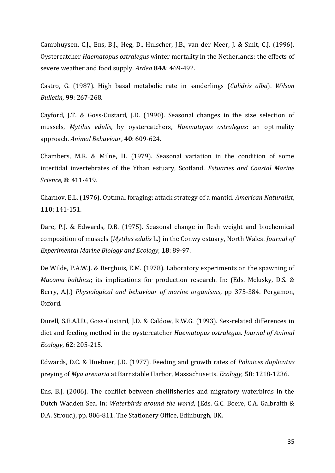Camphuysen, C.J., Ens, B.J., Heg, D., Hulscher, J.B., van der Meer, J. & Smit, C.J. (1996). Oystercatcher *Haematopus ostralegus* winter mortality in the Netherlands: the effects of severe weather and food supply. *Ardea* **84A**: 469-492.

Castro, G. (1987). High basal metabolic rate in sanderlings (*Calidris alba*). *Wilson Bulletin*, **99**: 267-268.

Cayford, J.T. & Goss-Custard, J.D. (1990). Seasonal changes in the size selection of mussels, *Mytilus edulis*, by oystercatchers, *Haematopus ostralegus*: an optimality approach. *Animal Behaviour*, **40**: 609-624.

Chambers, M.R. & Milne, H. (1979). Seasonal variation in the condition of some intertidal invertebrates of the Ythan estuary, Scotland. *Estuaries and Coastal Marine Science*, **8**: 411-419.

Charnov, E.L. (1976). Optimal foraging: attack strategy of a mantid. *American Naturalist*, **110**: 141-151.

Dare, P.J. & Edwards, D.B. (1975). Seasonal change in flesh weight and biochemical composition of mussels (*Mytilus edulis* L.) in the Conwy estuary, North Wales. *Journal of Experimental Marine Biology and Ecology*, **18**: 89-97.

De Wilde, P.A.W.J. & Berghuis, E.M. (1978). Laboratory experiments on the spawning of *Macoma balthica*; its implications for production research. In: (Eds. Mclusky, D.S. & Berry, A.J.) *Physiological and behaviour of marine organisms*, pp 375-384. Pergamon, Oxford.

Durell, S.E.A.l.D., Goss-Custard, J.D. & Caldow, R.W.G. (1993). Sex-related differences in diet and feeding method in the oystercatcher *Haematopus ostralegus*. *Journal of Animal Ecology*, **62**: 205-215.

Edwards, D.C. & Huebner, J.D. (1977). Feeding and growth rates of *Polinices duplicatus* preying of *Mya arenaria* at Barnstable Harbor, Massachusetts. *Ecology*, **58**: 1218-1236.

Ens, B.J. (2006). The conflict between shellfisheries and migratory waterbirds in the Dutch Wadden Sea. In: *Waterbirds around the world*, (Eds. G.C. Boere, C.A. Galbraith & D.A. Stroud), pp. 806-811. The Stationery Office, Edinburgh, UK.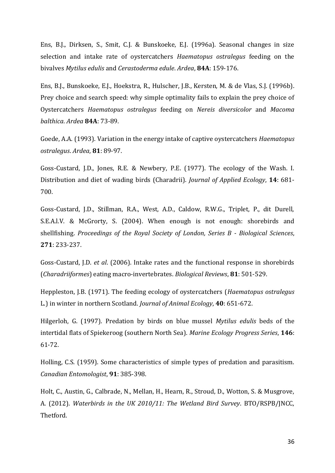Ens, B.J., Dirksen, S., Smit, C.J. & Bunskoeke, E.J. (1996a). Seasonal changes in size selection and intake rate of oystercatchers *Haematopus ostralegus* feeding on the bivalves *Mytilus edulis* and *Cerastoderma edule*. *Ardea*, **84A**: 159-176.

Ens, B.J., Bunskoeke, E.J., Hoekstra, R., Hulscher, J.B., Kersten, M. & de Vlas, S.J. (1996b). Prey choice and search speed: why simple optimality fails to explain the prey choice of Oystercatchers *Haematopus ostralegus* feeding on *Nereis diversicolor* and *Macoma balthica*. *Ardea* **84A**: 73-89.

Goede, A.A. (1993). Variation in the energy intake of captive oystercatchers *Haematopus ostralegus*. *Ardea*, **81**: 89-97.

Goss-Custard, J.D., Jones, R.E. & Newbery, P.E. (1977). The ecology of the Wash. I. Distribution and diet of wading birds (Charadrii). *Journal of Applied Ecology*, **14**: 681- 700.

Goss-Custard, J.D., Stillman, R.A., West, A.D., Caldow, R.W.G., Triplet, P., dit Durell, S.E.A.l.V. & McGrorty, S. (2004). When enough is not enough: shorebirds and shellfishing. *Proceedings of the Royal Society of London, Series B - Biological Sciences*, **271**: 233-237.

Goss-Custard, J.D. *et al*. (2006). Intake rates and the functional response in shorebirds (*Charadriiformes*) eating macro-invertebrates. *Biological Reviews*, **81**: 501-529.

Heppleston, J.B. (1971). The feeding ecology of oystercatchers (*Haematopus ostralegus* L.) in winter in northern Scotland. *Journal of Animal Ecology*, **40**: 651-672.

Hilgerloh, G. (1997). Predation by birds on blue mussel *Mytilus edulis* beds of the intertidal flats of Spiekeroog (southern North Sea). *Marine Ecology Progress Series*, **146**: 61-72.

Holling, C.S. (1959). Some characteristics of simple types of predation and parasitism. *Canadian Entomologist*, **91**: 385-398.

Holt, C., Austin, G., Calbrade, N., Mellan, H., Hearn, R., Stroud, D., Wotton, S. & Musgrove, A. (2012). *Waterbirds in the UK 2010/11: The Wetland Bird Survey*. BTO/RSPB/JNCC, Thetford.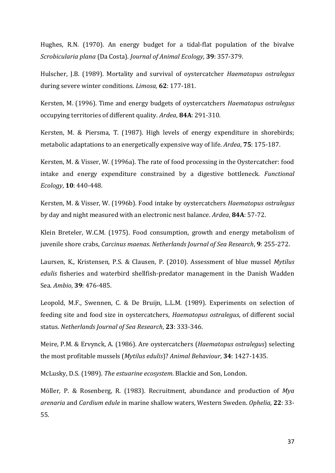Hughes, R.N. (1970). An energy budget for a tidal-flat population of the bivalve *Scrobicularia plana* (Da Costa). *Journal of Animal Ecology*, **39**: 357-379.

Hulscher, J.B. (1989). Mortality and survival of oystercatcher *Haematopus ostralegus* during severe winter conditions. *Limosa*, **62**: 177-181.

Kersten, M. (1996). Time and energy budgets of oystercatchers *Haematopus ostralegus* occupying territories of different quality. *Ardea*, **84A**: 291-310.

Kersten, M. & Piersma, T. (1987). High levels of energy expenditure in shorebirds; metabolic adaptations to an energetically expensive way of life. *Ardea*, **75**: 175-187.

Kersten, M. & Visser, W. (1996a). The rate of food processing in the Oystercatcher: food intake and energy expenditure constrained by a digestive bottleneck. *Functional Ecology*, **10**: 440-448.

Kersten, M. & Visser, W. (1996b). Food intake by oystercatchers *Haematopus ostralegus* by day and night measured with an electronic nest balance. *Ardea*, **84A**: 57-72.

Klein Breteler, W.C.M. (1975). Food consumption, growth and energy metabolism of juvenile shore crabs, *Carcinus maenas*. *Netherlands Journal of Sea Research*, **9**: 255-272.

Laursen, K., Kristensen, P.S. & Clausen, P. (2010). Assessment of blue mussel *Mytilus edulis* fisheries and waterbird shellfish-predator management in the Danish Wadden Sea. *Ambio*, **39**: 476-485.

Leopold, M.F., Swennen, C. & De Bruijn, L.L.M. (1989). Experiments on selection of feeding site and food size in oystercatchers, *Haematopus ostralegus*, of different social status. *Netherlands Journal of Sea Research*, **23**: 333-346.

Meire, P.M. & Ervynck, A. (1986). Are oystercatchers (*Haematopus ostralegus*) selecting the most profitable mussels (*Mytilus edulis*)? *Animal Behaviour*, **34**: 1427-1435.

McLusky, D.S. (1989). *The estuarine ecosystem*. Blackie and Son, London.

Möller, P. & Rosenberg, R. (1983). Recruitment, abundance and production of *Mya arenaria* and *Cardium edule* in marine shallow waters, Western Sweden. *Ophelia*, **22**: 33- 55.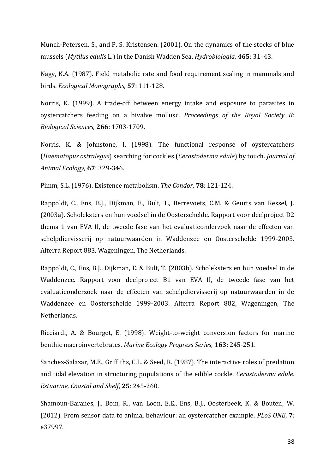Munch-Petersen, S., and P. S. Kristensen. (2001). On the dynamics of the stocks of blue mussels (*Mytilus edulis* L.) in the Danish Wadden Sea. *Hydrobiologia*, **465**: 31–43.

Nagy, K.A. (1987). Field metabolic rate and food requirement scaling in mammals and birds. *Ecological Monographs*, **57**: 111-128.

Norris, K. (1999). A trade-off between energy intake and exposure to parasites in oystercatchers feeding on a bivalve mollusc. *Proceedings of the Royal Society B: Biological Sciences*, **266**: 1703-1709.

Norris, K. & Johnstone, I. (1998). The functional response of oystercatchers (*Haematopus ostralegus*) searching for cockles (*Cerastoderma edule*) by touch. *Journal of Animal Ecology*, **67**: 329-346.

Pimm, S.L. (1976). Existence metabolism. *The Condor*, **78**: 121-124.

Rappoldt, C., Ens, B.J., Dijkman, E., Bult, T., Berrevoets, C.M. & Geurts van Kessel, J. (2003a). Scholeksters en hun voedsel in de Oosterschelde. Rapport voor deelproject D2 thema 1 van EVA II, de tweede fase van het evaluatieonderzoek naar de effecten van schelpdiervisserij op natuurwaarden in Waddenzee en Oosterschelde 1999-2003. Alterra Report 883, Wageningen, The Netherlands.

Rappoldt, C., Ens, B.J., Dijkman, E. & Bult, T. (2003b). Scholeksters en hun voedsel in de Waddenzee. Rapport voor deelproject B1 van EVA II, de tweede fase van het evaluatieonderzoek naar de effecten van schelpdiervisserij op natuurwaarden in de Waddenzee en Oosterschelde 1999-2003. Alterra Report 882, Wageningen, The Netherlands.

Ricciardi, A. & Bourget, E. (1998). Weight-to-weight conversion factors for marine benthic macroinvertebrates. *Marine Ecology Progress Series*, **163**: 245-251.

Sanchez-Salazar, M.E., Griffiths, C.L. & Seed, R. (1987). The interactive roles of predation and tidal elevation in structuring populations of the edible cockle, *Cerastoderma edule*. *Estuarine, Coastal and Shelf*, **25**: 245-260.

Shamoun-Baranes, J., Bom, R., van Loon, E.E., Ens, B.J., Oosterbeek, K. & Bouten, W. (2012). From sensor data to animal behaviour: an oystercatcher example. *PLoS ONE*, **7**: e37997.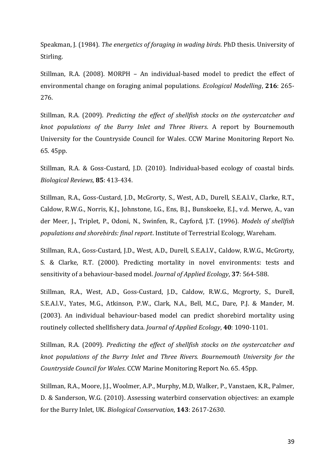Speakman, J. (1984). *The energetics of foraging in wading birds*. PhD thesis. University of Stirling.

Stillman, R.A. (2008). MORPH – An individual-based model to predict the effect of environmental change on foraging animal populations. *Ecological Modelling*, **216**: 265- 276.

Stillman, R.A. (2009). *Predicting the effect of shellfish stocks on the oystercatcher and knot populations of the Burry Inlet and Three Rivers*. A report by Bournemouth University for the Countryside Council for Wales. CCW Marine Monitoring Report No. 65. 45pp.

Stillman, R.A. & Goss-Custard, J.D. (2010). Individual-based ecology of coastal birds. *Biological Reviews*, **85**: 413-434.

Stillman, R.A., Goss-Custard, J.D., McGrorty, S., West, A.D., Durell, S.E.A.l.V., Clarke, R.T., Caldow, R.W.G., Norris, K.J., Johnstone, I.G., Ens, B.J., Bunskoeke, E.J., v.d. Merwe, A., van der Meer, J., Triplet, P., Odoni, N., Swinfen, R., Cayford, J.T. (1996). *Models of shellfish populations and shorebirds: final report*. Institute of Terrestrial Ecology, Wareham.

Stillman, R.A., Goss-Custard, J.D., West, A.D., Durell, S.E.A.l.V., Caldow, R.W.G., McGrorty, S. & Clarke, R.T. (2000). Predicting mortality in novel environments: tests and sensitivity of a behaviour-based model. *Journal of Applied Ecology*, **37**: 564-588.

Stillman, R.A., West, A.D., Goss‐Custard, J.D., Caldow, R.W.G., Mcgrorty, S., Durell, S.E.A.l.V., Yates, M.G., Atkinson, P.W., Clark, N.A., Bell, M.C., Dare, P.J. & Mander, M. (2003). An individual behaviour‐based model can predict shorebird mortality using routinely collected shellfishery data. *Journal of Applied Ecology*, **40**: 1090-1101.

Stillman, R.A. (2009). *Predicting the effect of shellfish stocks on the oystercatcher and knot populations of the Burry Inlet and Three Rivers. Bournemouth University for the Countryside Council for Wales.* CCW Marine Monitoring Report No. 65. 45pp.

Stillman, R.A., Moore, J.J., Woolmer, A.P., Murphy, M.D, Walker, P., Vanstaen, K.R., Palmer, D. & Sanderson, W.G. (2010). Assessing waterbird conservation objectives: an example for the Burry Inlet, UK. *Biological Conservation*, **143**: 2617-2630.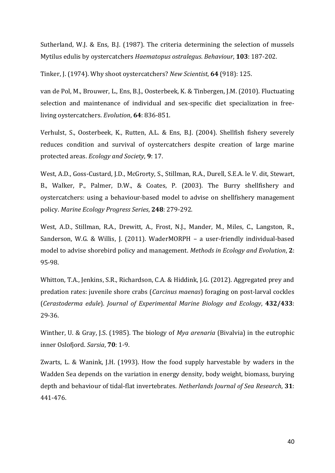Sutherland, W.J. & Ens, B.J. (1987). The criteria determining the selection of mussels Mytilus edulis by oystercatchers *Haematopus ostralegus*. *Behaviour*, **103**: 187-202.

Tinker, J. (1974). Why shoot oystercatchers? *New Scientist*, **64** (918): 125.

van de Pol, M., Brouwer, L., Ens, B.J., Oosterbeek, K. & Tinbergen, J.M. (2010). Fluctuating selection and maintenance of individual and sex-specific diet specialization in freeliving oystercatchers. *Evolution*, **64**: 836-851.

Verhulst, S., Oosterbeek, K., Rutten, A.L. & Ens, B.J. (2004). Shellfish fishery severely reduces condition and survival of oystercatchers despite creation of large marine protected areas. *Ecology and Society*, **9**: 17.

West, A.D., Goss-Custard, J.D., McGrorty, S., Stillman, R.A., Durell, S.E.A. le V. dit, Stewart, B., Walker, P., Palmer, D.W., & Coates, P. (2003). The Burry shellfishery and oystercatchers: using a behaviour-based model to advise on shellfishery management policy. *Marine Ecology Progress Series*, **248**: 279-292.

West, A.D., Stillman, R.A., Drewitt, A., Frost, N.J., Mander, M., Miles, C., Langston, R., Sanderson, W.G. & Willis, J. (2011). WaderMORPH – a user-friendly individual-based model to advise shorebird policy and management. *Methods in Ecology and Evolution*, **2**: 95-98.

Whitton, T.A., Jenkins, S.R., Richardson, C.A. & Hiddink, J.G. (2012). Aggregated prey and predation rates: juvenile shore crabs (*Carcinus maenas*) foraging on post-larval cockles (*Cerastoderma edule*). *Journal of Experimental Marine Biology and Ecology*, **432/433**: 29-36.

Winther, U. & Gray, J.S. (1985). The biology of *Mya arenaria* (Bivalvia) in the eutrophic inner Oslofjord. *Sarsia*, **70**: 1-9.

Zwarts, L. & Wanink, J.H. (1993). How the food supply harvestable by waders in the Wadden Sea depends on the variation in energy density, body weight, biomass, burying depth and behaviour of tidal-flat invertebrates. *Netherlands Journal of Sea Research*, **31**: 441-476.